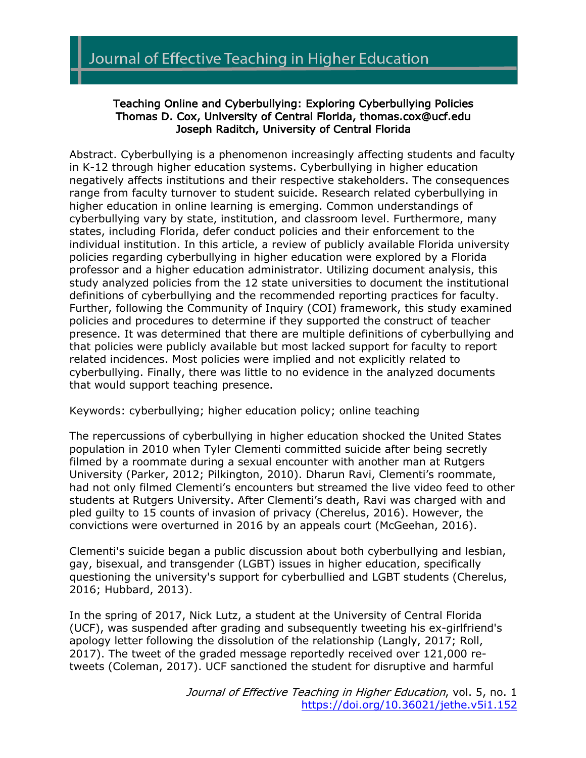# Teaching Online and Cyberbullying: Exploring Cyberbullying Policies Thomas D. Cox, University of Central Florida, thomas.cox@ucf.edu Joseph Raditch, University of Central Florida

Abstract. Cyberbullying is a phenomenon increasingly affecting students and faculty in K-12 through higher education systems. Cyberbullying in higher education negatively affects institutions and their respective stakeholders. The consequences range from faculty turnover to student suicide. Research related cyberbullying in higher education in online learning is emerging. Common understandings of cyberbullying vary by state, institution, and classroom level. Furthermore, many states, including Florida, defer conduct policies and their enforcement to the individual institution. In this article, a review of publicly available Florida university policies regarding cyberbullying in higher education were explored by a Florida professor and a higher education administrator. Utilizing document analysis, this study analyzed policies from the 12 state universities to document the institutional definitions of cyberbullying and the recommended reporting practices for faculty. Further, following the Community of Inquiry (COI) framework, this study examined policies and procedures to determine if they supported the construct of teacher presence. It was determined that there are multiple definitions of cyberbullying and that policies were publicly available but most lacked support for faculty to report related incidences. Most policies were implied and not explicitly related to cyberbullying. Finally, there was little to no evidence in the analyzed documents that would support teaching presence.

Keywords: cyberbullying; higher education policy; online teaching

The repercussions of cyberbullying in higher education shocked the United States population in 2010 when Tyler Clementi committed suicide after being secretly filmed by a roommate during a sexual encounter with another man at Rutgers University (Parker, 2012; Pilkington, 2010). Dharun Ravi, Clementi's roommate, had not only filmed Clementi's encounters but streamed the live video feed to other students at Rutgers University. After Clementi's death, Ravi was charged with and pled guilty to 15 counts of invasion of privacy (Cherelus, 2016). However, the convictions were overturned in 2016 by an appeals court (McGeehan, 2016).

Clementi's suicide began a public discussion about both cyberbullying and lesbian, gay, bisexual, and transgender (LGBT) issues in higher education, specifically questioning the university's support for cyberbullied and LGBT students (Cherelus, 2016; Hubbard, 2013).

In the spring of 2017, Nick Lutz, a student at the University of Central Florida (UCF), was suspended after grading and subsequently tweeting his ex-girlfriend's apology letter following the dissolution of the relationship (Langly, 2017; Roll, 2017). The tweet of the graded message reportedly received over 121,000 retweets (Coleman, 2017). UCF sanctioned the student for disruptive and harmful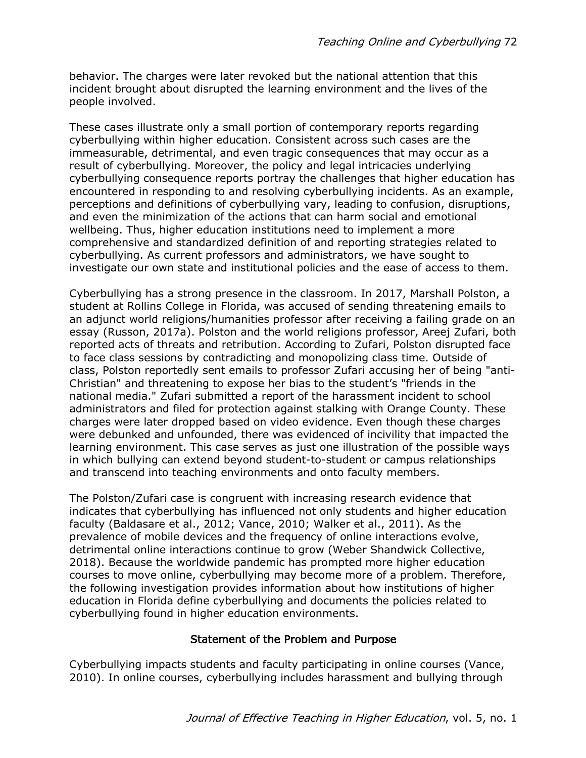behavior. The charges were later revoked but the national attention that this incident brought about disrupted the learning environment and the lives of the people involved.

These cases illustrate only a small portion of contemporary reports regarding cyberbullying within higher education. Consistent across such cases are the immeasurable, detrimental, and even tragic consequences that may occur as a result of cyberbullying. Moreover, the policy and legal intricacies underlying cyberbullying consequence reports portray the challenges that higher education has encountered in responding to and resolving cyberbullying incidents. As an example, perceptions and definitions of cyberbullying vary, leading to confusion, disruptions, and even the minimization of the actions that can harm social and emotional wellbeing. Thus, higher education institutions need to implement a more comprehensive and standardized definition of and reporting strategies related to cyberbullying. As current professors and administrators, we have sought to investigate our own state and institutional policies and the ease of access to them.

Cyberbullying has a strong presence in the classroom. In 2017, Marshall Polston, a student at Rollins College in Florida, was accused of sending threatening emails to an adjunct world religions/humanities professor after receiving a failing grade on an essay (Russon, 2017a). Polston and the world religions professor, Areej Zufari, both reported acts of threats and retribution. According to Zufari, Polston disrupted face to face class sessions by contradicting and monopolizing class time. Outside of class, Polston reportedly sent emails to professor Zufari accusing her of being "anti-Christian" and threatening to expose her bias to the student's "friends in the national media." Zufari submitted a report of the harassment incident to school administrators and filed for protection against stalking with Orange County. These charges were later dropped based on video evidence. Even though these charges were debunked and unfounded, there was evidenced of incivility that impacted the learning environment. This case serves as just one illustration of the possible ways in which bullying can extend beyond student-to-student or campus relationships and transcend into teaching environments and onto faculty members.

The Polston/Zufari case is congruent with increasing research evidence that indicates that cyberbullying has influenced not only students and higher education faculty (Baldasare et al., 2012; Vance, 2010; Walker et al., 2011). As the prevalence of mobile devices and the frequency of online interactions evolve, detrimental online interactions continue to grow (Weber Shandwick Collective, 2018). Because the worldwide pandemic has prompted more higher education courses to move online, cyberbullying may become more of a problem. Therefore, the following investigation provides information about how institutions of higher education in Florida define cyberbullying and documents the policies related to cyberbullying found in higher education environments.

#### Statement of the Problem and Purpose

Cyberbullying impacts students and faculty participating in online courses (Vance, 2010). In online courses, cyberbullying includes harassment and bullying through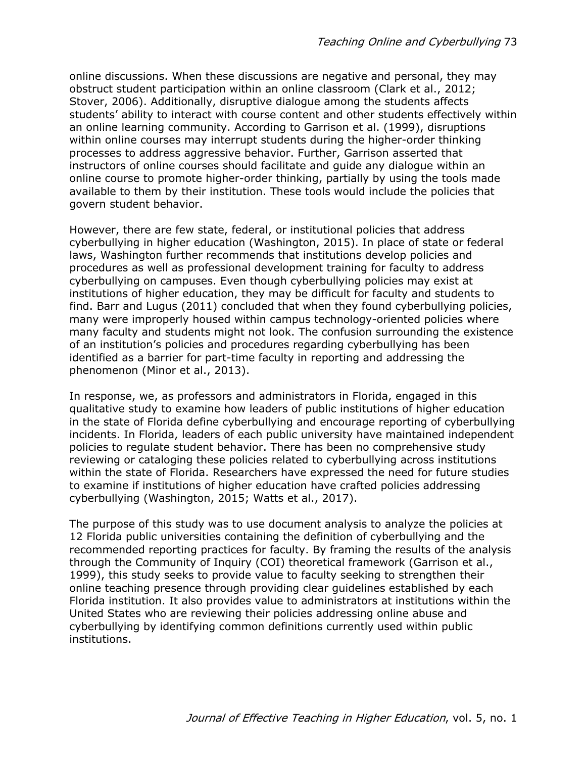online discussions. When these discussions are negative and personal, they may obstruct student participation within an online classroom (Clark et al., 2012; Stover, 2006). Additionally, disruptive dialogue among the students affects students' ability to interact with course content and other students effectively within an online learning community. According to Garrison et al. (1999), disruptions within online courses may interrupt students during the higher-order thinking processes to address aggressive behavior. Further, Garrison asserted that instructors of online courses should facilitate and guide any dialogue within an online course to promote higher-order thinking, partially by using the tools made available to them by their institution. These tools would include the policies that govern student behavior.

However, there are few state, federal, or institutional policies that address cyberbullying in higher education (Washington, 2015). In place of state or federal laws, Washington further recommends that institutions develop policies and procedures as well as professional development training for faculty to address cyberbullying on campuses. Even though cyberbullying policies may exist at institutions of higher education, they may be difficult for faculty and students to find. Barr and Lugus (2011) concluded that when they found cyberbullying policies, many were improperly housed within campus technology-oriented policies where many faculty and students might not look. The confusion surrounding the existence of an institution's policies and procedures regarding cyberbullying has been identified as a barrier for part-time faculty in reporting and addressing the phenomenon (Minor et al., 2013).

In response, we, as professors and administrators in Florida, engaged in this qualitative study to examine how leaders of public institutions of higher education in the state of Florida define cyberbullying and encourage reporting of cyberbullying incidents. In Florida, leaders of each public university have maintained independent policies to regulate student behavior. There has been no comprehensive study reviewing or cataloging these policies related to cyberbullying across institutions within the state of Florida. Researchers have expressed the need for future studies to examine if institutions of higher education have crafted policies addressing cyberbullying (Washington, 2015; Watts et al., 2017).

The purpose of this study was to use document analysis to analyze the policies at 12 Florida public universities containing the definition of cyberbullying and the recommended reporting practices for faculty. By framing the results of the analysis through the Community of Inquiry (COI) theoretical framework (Garrison et al., 1999), this study seeks to provide value to faculty seeking to strengthen their online teaching presence through providing clear guidelines established by each Florida institution. It also provides value to administrators at institutions within the United States who are reviewing their policies addressing online abuse and cyberbullying by identifying common definitions currently used within public institutions.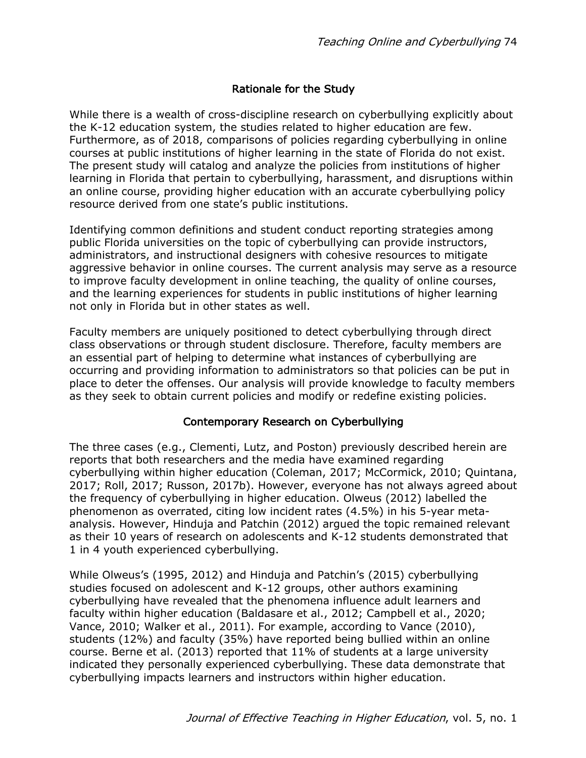# Rationale for the Study

While there is a wealth of cross-discipline research on cyberbullying explicitly about the K-12 education system, the studies related to higher education are few. Furthermore, as of 2018, comparisons of policies regarding cyberbullying in online courses at public institutions of higher learning in the state of Florida do not exist. The present study will catalog and analyze the policies from institutions of higher learning in Florida that pertain to cyberbullying, harassment, and disruptions within an online course, providing higher education with an accurate cyberbullying policy resource derived from one state's public institutions.

Identifying common definitions and student conduct reporting strategies among public Florida universities on the topic of cyberbullying can provide instructors, administrators, and instructional designers with cohesive resources to mitigate aggressive behavior in online courses. The current analysis may serve as a resource to improve faculty development in online teaching, the quality of online courses, and the learning experiences for students in public institutions of higher learning not only in Florida but in other states as well.

Faculty members are uniquely positioned to detect cyberbullying through direct class observations or through student disclosure. Therefore, faculty members are an essential part of helping to determine what instances of cyberbullying are occurring and providing information to administrators so that policies can be put in place to deter the offenses. Our analysis will provide knowledge to faculty members as they seek to obtain current policies and modify or redefine existing policies.

# Contemporary Research on Cyberbullying

The three cases (e.g., Clementi, Lutz, and Poston) previously described herein are reports that both researchers and the media have examined regarding cyberbullying within higher education (Coleman, 2017; McCormick, 2010; Quintana, 2017; Roll, 2017; Russon, 2017b). However, everyone has not always agreed about the frequency of cyberbullying in higher education. Olweus (2012) labelled the phenomenon as overrated, citing low incident rates (4.5%) in his 5-year metaanalysis. However, Hinduja and Patchin (2012) argued the topic remained relevant as their 10 years of research on adolescents and K-12 students demonstrated that 1 in 4 youth experienced cyberbullying.

While Olweus's (1995, 2012) and Hinduja and Patchin's (2015) cyberbullying studies focused on adolescent and K-12 groups, other authors examining cyberbullying have revealed that the phenomena influence adult learners and faculty within higher education (Baldasare et al., 2012; Campbell et al., 2020; Vance, 2010; Walker et al., 2011). For example, according to Vance (2010), students (12%) and faculty (35%) have reported being bullied within an online course. Berne et al. (2013) reported that 11% of students at a large university indicated they personally experienced cyberbullying. These data demonstrate that cyberbullying impacts learners and instructors within higher education.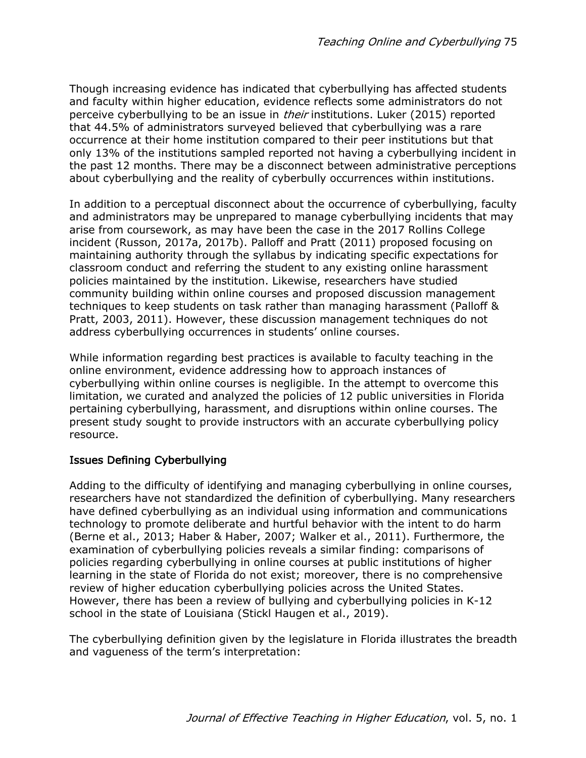Though increasing evidence has indicated that cyberbullying has affected students and faculty within higher education, evidence reflects some administrators do not perceive cyberbullying to be an issue in *their* institutions. Luker (2015) reported that 44.5% of administrators surveyed believed that cyberbullying was a rare occurrence at their home institution compared to their peer institutions but that only 13% of the institutions sampled reported not having a cyberbullying incident in the past 12 months. There may be a disconnect between administrative perceptions about cyberbullying and the reality of cyberbully occurrences within institutions.

In addition to a perceptual disconnect about the occurrence of cyberbullying, faculty and administrators may be unprepared to manage cyberbullying incidents that may arise from coursework, as may have been the case in the 2017 Rollins College incident (Russon, 2017a, 2017b). Palloff and Pratt (2011) proposed focusing on maintaining authority through the syllabus by indicating specific expectations for classroom conduct and referring the student to any existing online harassment policies maintained by the institution. Likewise, researchers have studied community building within online courses and proposed discussion management techniques to keep students on task rather than managing harassment (Palloff & Pratt, 2003, 2011). However, these discussion management techniques do not address cyberbullying occurrences in students' online courses.

While information regarding best practices is available to faculty teaching in the online environment, evidence addressing how to approach instances of cyberbullying within online courses is negligible. In the attempt to overcome this limitation, we curated and analyzed the policies of 12 public universities in Florida pertaining cyberbullying, harassment, and disruptions within online courses. The present study sought to provide instructors with an accurate cyberbullying policy resource.

# Issues Defining Cyberbullying

Adding to the difficulty of identifying and managing cyberbullying in online courses, researchers have not standardized the definition of cyberbullying. Many researchers have defined cyberbullying as an individual using information and communications technology to promote deliberate and hurtful behavior with the intent to do harm (Berne et al., 2013; Haber & Haber, 2007; Walker et al., 2011). Furthermore, the examination of cyberbullying policies reveals a similar finding: comparisons of policies regarding cyberbullying in online courses at public institutions of higher learning in the state of Florida do not exist; moreover, there is no comprehensive review of higher education cyberbullying policies across the United States. However, there has been a review of bullying and cyberbullying policies in K-12 school in the state of Louisiana (Stickl Haugen et al., 2019).

The cyberbullying definition given by the legislature in Florida illustrates the breadth and vagueness of the term's interpretation: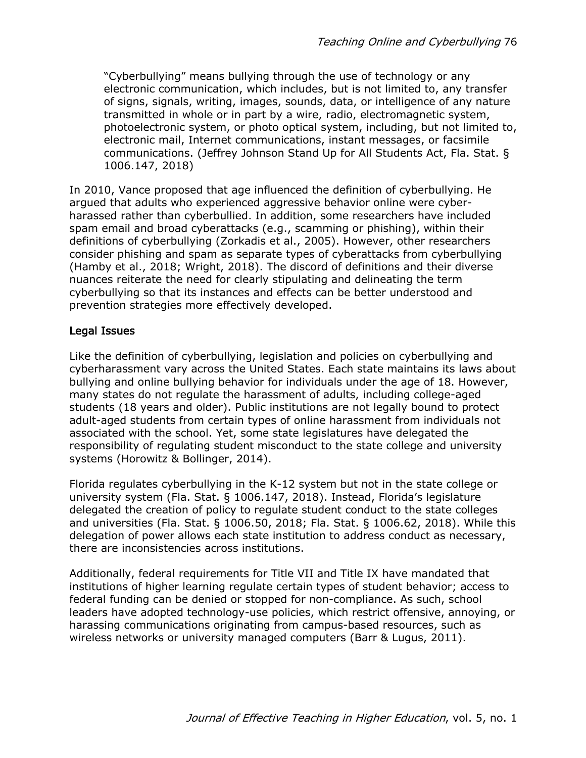"Cyberbullying" means bullying through the use of technology or any electronic communication, which includes, but is not limited to, any transfer of signs, signals, writing, images, sounds, data, or intelligence of any nature transmitted in whole or in part by a wire, radio, electromagnetic system, photoelectronic system, or photo optical system, including, but not limited to, electronic mail, Internet communications, instant messages, or facsimile communications. (Jeffrey Johnson Stand Up for All Students Act, Fla. Stat. § 1006.147, 2018)

In 2010, Vance proposed that age influenced the definition of cyberbullying. He argued that adults who experienced aggressive behavior online were cyberharassed rather than cyberbullied. In addition, some researchers have included spam email and broad cyberattacks (e.g., scamming or phishing), within their definitions of cyberbullying (Zorkadis et al., 2005). However, other researchers consider phishing and spam as separate types of cyberattacks from cyberbullying (Hamby et al., 2018; Wright, 2018). The discord of definitions and their diverse nuances reiterate the need for clearly stipulating and delineating the term cyberbullying so that its instances and effects can be better understood and prevention strategies more effectively developed.

# Legal Issues

Like the definition of cyberbullying, legislation and policies on cyberbullying and cyberharassment vary across the United States. Each state maintains its laws about bullying and online bullying behavior for individuals under the age of 18. However, many states do not regulate the harassment of adults, including college-aged students (18 years and older). Public institutions are not legally bound to protect adult-aged students from certain types of online harassment from individuals not associated with the school. Yet, some state legislatures have delegated the responsibility of regulating student misconduct to the state college and university systems (Horowitz & Bollinger, 2014).

Florida regulates cyberbullying in the K-12 system but not in the state college or university system (Fla. Stat. § 1006.147, 2018). Instead, Florida's legislature delegated the creation of policy to regulate student conduct to the state colleges and universities (Fla. Stat. § 1006.50, 2018; Fla. Stat. § 1006.62, 2018). While this delegation of power allows each state institution to address conduct as necessary, there are inconsistencies across institutions.

Additionally, federal requirements for Title VII and Title IX have mandated that institutions of higher learning regulate certain types of student behavior; access to federal funding can be denied or stopped for non-compliance. As such, school leaders have adopted technology-use policies, which restrict offensive, annoying, or harassing communications originating from campus-based resources, such as wireless networks or university managed computers (Barr & Lugus, 2011).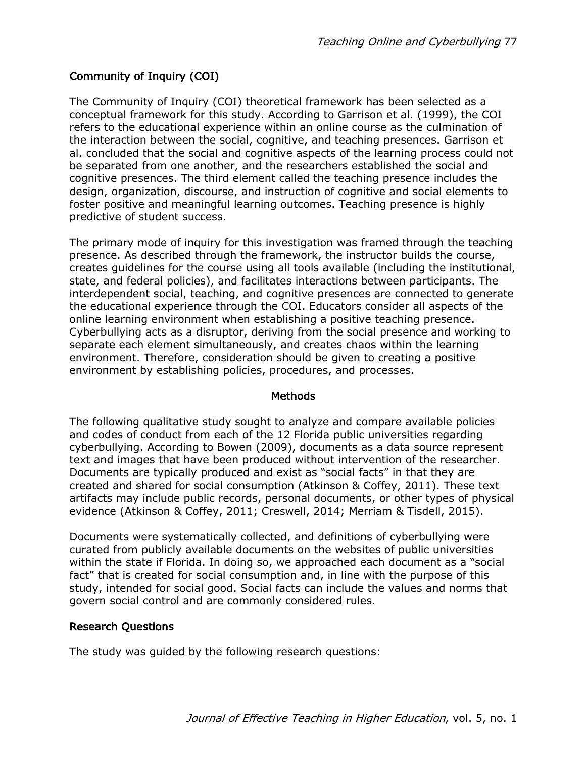# Community of Inquiry (COI)

The Community of Inquiry (COI) theoretical framework has been selected as a conceptual framework for this study. According to Garrison et al. (1999), the COI refers to the educational experience within an online course as the culmination of the interaction between the social, cognitive, and teaching presences. Garrison et al. concluded that the social and cognitive aspects of the learning process could not be separated from one another, and the researchers established the social and cognitive presences. The third element called the teaching presence includes the design, organization, discourse, and instruction of cognitive and social elements to foster positive and meaningful learning outcomes. Teaching presence is highly predictive of student success.

The primary mode of inquiry for this investigation was framed through the teaching presence. As described through the framework, the instructor builds the course, creates guidelines for the course using all tools available (including the institutional, state, and federal policies), and facilitates interactions between participants. The interdependent social, teaching, and cognitive presences are connected to generate the educational experience through the COI. Educators consider all aspects of the online learning environment when establishing a positive teaching presence. Cyberbullying acts as a disruptor, deriving from the social presence and working to separate each element simultaneously, and creates chaos within the learning environment. Therefore, consideration should be given to creating a positive environment by establishing policies, procedures, and processes.

#### Methods

The following qualitative study sought to analyze and compare available policies and codes of conduct from each of the 12 Florida public universities regarding cyberbullying. According to Bowen (2009), documents as a data source represent text and images that have been produced without intervention of the researcher. Documents are typically produced and exist as "social facts" in that they are created and shared for social consumption (Atkinson & Coffey, 2011). These text artifacts may include public records, personal documents, or other types of physical evidence (Atkinson & Coffey, 2011; Creswell, 2014; Merriam & Tisdell, 2015).

Documents were systematically collected, and definitions of cyberbullying were curated from publicly available documents on the websites of public universities within the state if Florida. In doing so, we approached each document as a "social fact" that is created for social consumption and, in line with the purpose of this study, intended for social good. Social facts can include the values and norms that govern social control and are commonly considered rules.

#### Research Questions

The study was guided by the following research questions: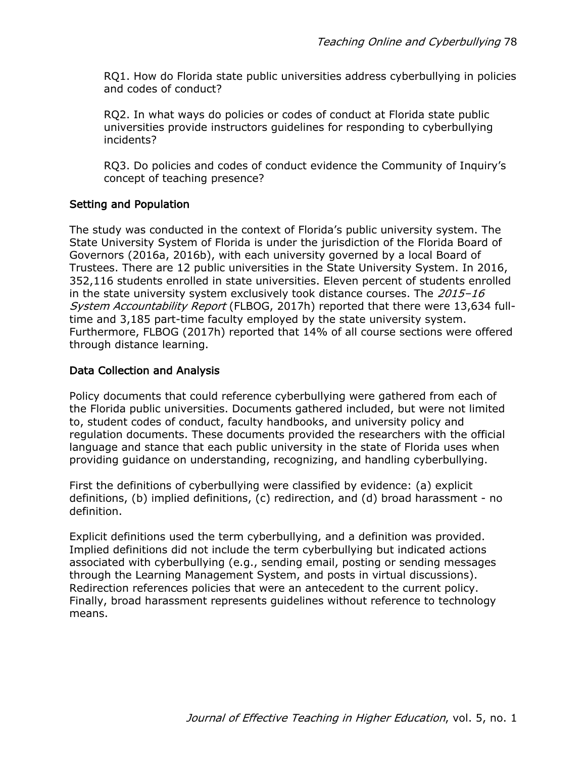RQ1. How do Florida state public universities address cyberbullying in policies and codes of conduct?

RQ2. In what ways do policies or codes of conduct at Florida state public universities provide instructors guidelines for responding to cyberbullying incidents?

RQ3. Do policies and codes of conduct evidence the Community of Inquiry's concept of teaching presence?

# Setting and Population

The study was conducted in the context of Florida's public university system. The State University System of Florida is under the jurisdiction of the Florida Board of Governors (2016a, 2016b), with each university governed by a local Board of Trustees. There are 12 public universities in the State University System. In 2016, 352,116 students enrolled in state universities. Eleven percent of students enrolled in the state university system exclusively took distance courses. The  $2015 - 16$ System Accountability Report (FLBOG, 2017h) reported that there were 13,634 fulltime and 3,185 part-time faculty employed by the state university system. Furthermore, FLBOG (2017h) reported that 14% of all course sections were offered through distance learning.

# Data Collection and Analysis

Policy documents that could reference cyberbullying were gathered from each of the Florida public universities. Documents gathered included, but were not limited to, student codes of conduct, faculty handbooks, and university policy and regulation documents. These documents provided the researchers with the official language and stance that each public university in the state of Florida uses when providing guidance on understanding, recognizing, and handling cyberbullying.

First the definitions of cyberbullying were classified by evidence: (a) explicit definitions, (b) implied definitions, (c) redirection, and (d) broad harassment - no definition.

Explicit definitions used the term cyberbullying, and a definition was provided. Implied definitions did not include the term cyberbullying but indicated actions associated with cyberbullying (e.g., sending email, posting or sending messages through the Learning Management System, and posts in virtual discussions). Redirection references policies that were an antecedent to the current policy. Finally, broad harassment represents guidelines without reference to technology means.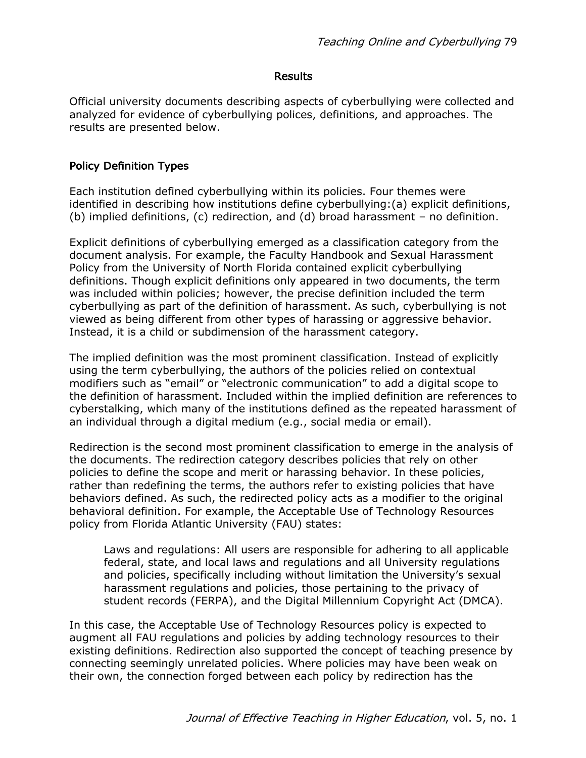#### **Results**

Official university documents describing aspects of cyberbullying were collected and analyzed for evidence of cyberbullying polices, definitions, and approaches. The results are presented below.

#### Policy Definition Types

Each institution defined cyberbullying within its policies. Four themes were identified in describing how institutions define cyberbullying:(a) explicit definitions, (b) implied definitions, (c) redirection, and (d) broad harassment – no definition.

Explicit definitions of cyberbullying emerged as a classification category from the document analysis. For example, the Faculty Handbook and Sexual Harassment Policy from the University of North Florida contained explicit cyberbullying definitions. Though explicit definitions only appeared in two documents, the term was included within policies; however, the precise definition included the term cyberbullying as part of the definition of harassment. As such, cyberbullying is not viewed as being different from other types of harassing or aggressive behavior. Instead, it is a child or subdimension of the harassment category.

The implied definition was the most prominent classification. Instead of explicitly using the term cyberbullying, the authors of the policies relied on contextual modifiers such as "email" or "electronic communication" to add a digital scope to the definition of harassment. Included within the implied definition are references to cyberstalking, which many of the institutions defined as the repeated harassment of an individual through a digital medium (e.g., social media or email).

Redirection is the second most prominent classification to emerge in the analysis of the documents. The redirection category describes policies that rely on other policies to define the scope and merit or harassing behavior. In these policies, rather than redefining the terms, the authors refer to existing policies that have behaviors defined. As such, the redirected policy acts as a modifier to the original behavioral definition. For example, the Acceptable Use of Technology Resources policy from Florida Atlantic University (FAU) states:

Laws and regulations: All users are responsible for adhering to all applicable federal, state, and local laws and regulations and all University regulations and policies, specifically including without limitation the University's sexual harassment regulations and policies, those pertaining to the privacy of student records (FERPA), and the Digital Millennium Copyright Act (DMCA).

In this case, the Acceptable Use of Technology Resources policy is expected to augment all FAU regulations and policies by adding technology resources to their existing definitions. Redirection also supported the concept of teaching presence by connecting seemingly unrelated policies. Where policies may have been weak on their own, the connection forged between each policy by redirection has the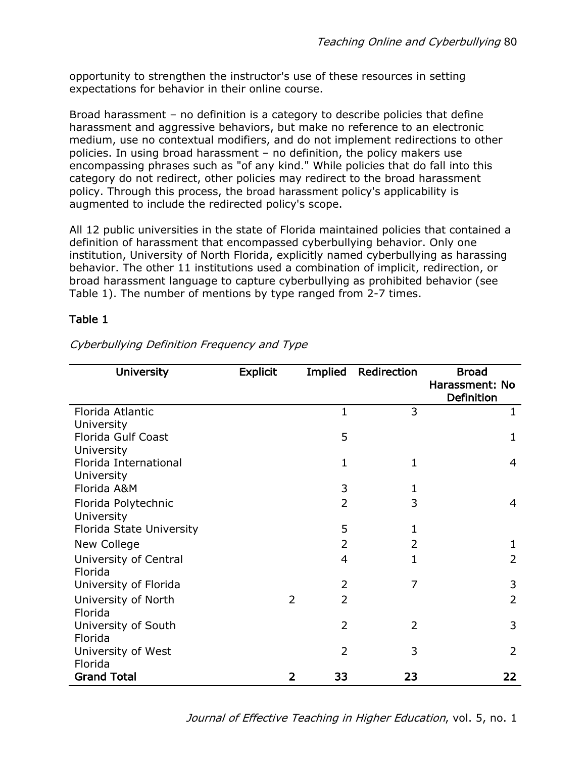opportunity to strengthen the instructor's use of these resources in setting expectations for behavior in their online course.

Broad harassment – no definition is a category to describe policies that define harassment and aggressive behaviors, but make no reference to an electronic medium, use no contextual modifiers, and do not implement redirections to other policies. In using broad harassment – no definition, the policy makers use encompassing phrases such as "of any kind." While policies that do fall into this category do not redirect, other policies may redirect to the broad harassment policy. Through this process, the broad harassment policy's applicability is augmented to include the redirected policy's scope.

All 12 public universities in the state of Florida maintained policies that contained a definition of harassment that encompassed cyberbullying behavior. Only one institution, University of North Florida, explicitly named cyberbullying as harassing behavior. The other 11 institutions used a combination of implicit, redirection, or broad harassment language to capture cyberbullying as prohibited behavior (see Table 1). The number of mentions by type ranged from 2-7 times.

# Table 1

| <b>University</b>        | <b>Explicit</b> | Implied             | Redirection    | <b>Broad</b>   |
|--------------------------|-----------------|---------------------|----------------|----------------|
|                          |                 |                     |                | Harassment: No |
|                          |                 |                     |                | Definition     |
| Florida Atlantic         |                 | 1                   | 3              | $\mathbf{1}$   |
| University               |                 |                     |                |                |
| Florida Gulf Coast       |                 | 5                   |                | 1              |
| University               |                 |                     |                |                |
| Florida International    |                 | 1                   | 1              | 4              |
| University               |                 |                     |                |                |
| Florida A&M              |                 | 3                   | $\mathbf{1}$   |                |
| Florida Polytechnic      |                 | $\overline{2}$      | 3              | 4              |
| University               |                 |                     |                |                |
| Florida State University |                 | 5                   | 1              |                |
| New College              |                 | 2                   | 2              | 1              |
| University of Central    |                 | 4                   | 1              | 2              |
| Florida                  |                 |                     |                |                |
| University of Florida    |                 | 2                   | 7              | 3              |
| University of North      |                 | $\overline{2}$<br>2 |                | 2              |
| Florida                  |                 |                     |                |                |
| University of South      |                 | 2                   | $\overline{2}$ | 3              |
| Florida                  |                 |                     |                |                |
| University of West       |                 | $\overline{2}$      | 3              | $\overline{2}$ |
| Florida                  |                 |                     |                |                |
| <b>Grand Total</b>       |                 | 33<br>2             | 23             | 22             |

Cyberbullying Definition Frequency and Type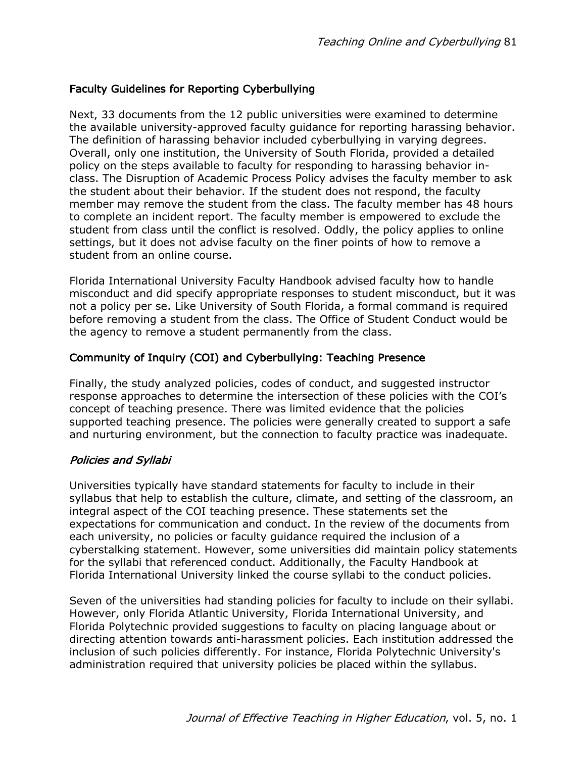# Faculty Guidelines for Reporting Cyberbullying

Next, 33 documents from the 12 public universities were examined to determine the available university-approved faculty guidance for reporting harassing behavior. The definition of harassing behavior included cyberbullying in varying degrees. Overall, only one institution, the University of South Florida, provided a detailed policy on the steps available to faculty for responding to harassing behavior inclass. The Disruption of Academic Process Policy advises the faculty member to ask the student about their behavior. If the student does not respond, the faculty member may remove the student from the class. The faculty member has 48 hours to complete an incident report. The faculty member is empowered to exclude the student from class until the conflict is resolved. Oddly, the policy applies to online settings, but it does not advise faculty on the finer points of how to remove a student from an online course.

Florida International University Faculty Handbook advised faculty how to handle misconduct and did specify appropriate responses to student misconduct, but it was not a policy per se. Like University of South Florida, a formal command is required before removing a student from the class. The Office of Student Conduct would be the agency to remove a student permanently from the class.

# Community of Inquiry (COI) and Cyberbullying: Teaching Presence

Finally, the study analyzed policies, codes of conduct, and suggested instructor response approaches to determine the intersection of these policies with the COI's concept of teaching presence. There was limited evidence that the policies supported teaching presence. The policies were generally created to support a safe and nurturing environment, but the connection to faculty practice was inadequate.

# Policies and Syllabi

Universities typically have standard statements for faculty to include in their syllabus that help to establish the culture, climate, and setting of the classroom, an integral aspect of the COI teaching presence. These statements set the expectations for communication and conduct. In the review of the documents from each university, no policies or faculty guidance required the inclusion of a cyberstalking statement. However, some universities did maintain policy statements for the syllabi that referenced conduct. Additionally, the Faculty Handbook at Florida International University linked the course syllabi to the conduct policies.

Seven of the universities had standing policies for faculty to include on their syllabi. However, only Florida Atlantic University, Florida International University, and Florida Polytechnic provided suggestions to faculty on placing language about or directing attention towards anti-harassment policies. Each institution addressed the inclusion of such policies differently. For instance, Florida Polytechnic University's administration required that university policies be placed within the syllabus.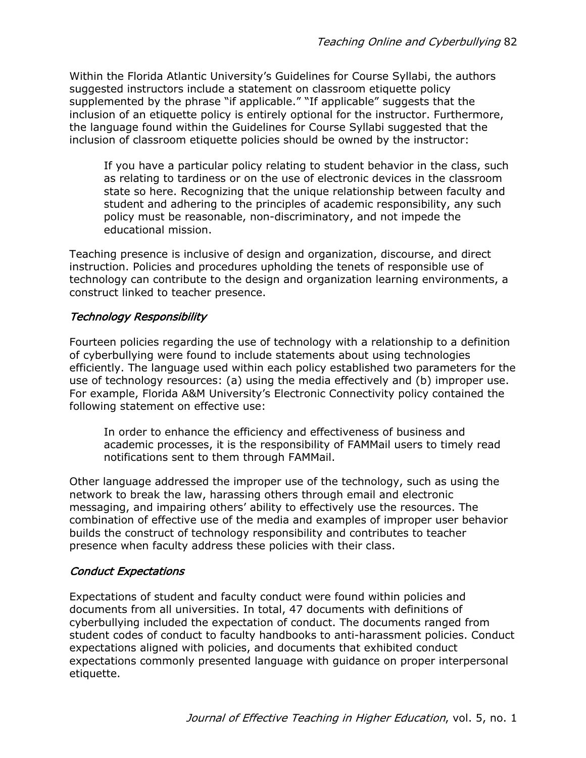Within the Florida Atlantic University's Guidelines for Course Syllabi, the authors suggested instructors include a statement on classroom etiquette policy supplemented by the phrase "if applicable." "If applicable" suggests that the inclusion of an etiquette policy is entirely optional for the instructor. Furthermore, the language found within the Guidelines for Course Syllabi suggested that the inclusion of classroom etiquette policies should be owned by the instructor:

If you have a particular policy relating to student behavior in the class, such as relating to tardiness or on the use of electronic devices in the classroom state so here. Recognizing that the unique relationship between faculty and student and adhering to the principles of academic responsibility, any such policy must be reasonable, non-discriminatory, and not impede the educational mission.

Teaching presence is inclusive of design and organization, discourse, and direct instruction. Policies and procedures upholding the tenets of responsible use of technology can contribute to the design and organization learning environments, a construct linked to teacher presence.

# Technology Responsibility

Fourteen policies regarding the use of technology with a relationship to a definition of cyberbullying were found to include statements about using technologies efficiently. The language used within each policy established two parameters for the use of technology resources: (a) using the media effectively and (b) improper use. For example, Florida A&M University's Electronic Connectivity policy contained the following statement on effective use:

In order to enhance the efficiency and effectiveness of business and academic processes, it is the responsibility of FAMMail users to timely read notifications sent to them through FAMMail.

Other language addressed the improper use of the technology, such as using the network to break the law, harassing others through email and electronic messaging, and impairing others' ability to effectively use the resources. The combination of effective use of the media and examples of improper user behavior builds the construct of technology responsibility and contributes to teacher presence when faculty address these policies with their class.

# Conduct Expectations

Expectations of student and faculty conduct were found within policies and documents from all universities. In total, 47 documents with definitions of cyberbullying included the expectation of conduct. The documents ranged from student codes of conduct to faculty handbooks to anti-harassment policies. Conduct expectations aligned with policies, and documents that exhibited conduct expectations commonly presented language with guidance on proper interpersonal etiquette.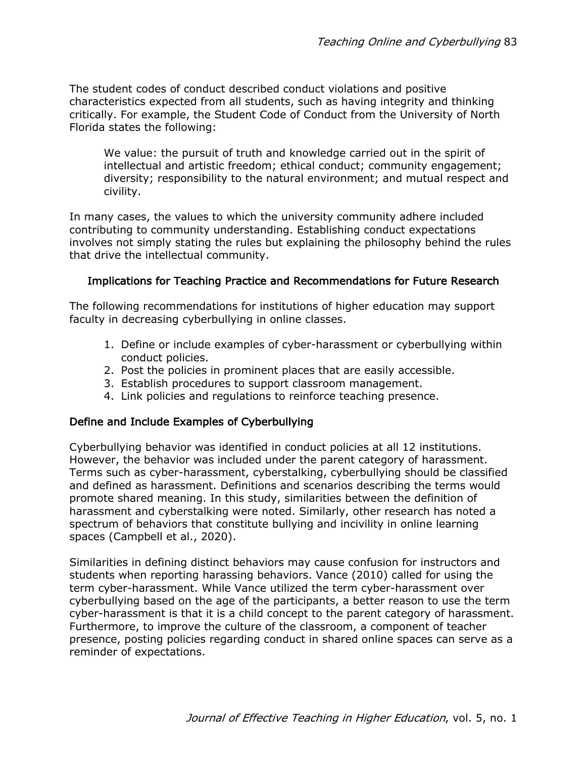The student codes of conduct described conduct violations and positive characteristics expected from all students, such as having integrity and thinking critically. For example, the Student Code of Conduct from the University of North Florida states the following:

We value: the pursuit of truth and knowledge carried out in the spirit of intellectual and artistic freedom; ethical conduct; community engagement; diversity; responsibility to the natural environment; and mutual respect and civility.

In many cases, the values to which the university community adhere included contributing to community understanding. Establishing conduct expectations involves not simply stating the rules but explaining the philosophy behind the rules that drive the intellectual community.

# Implications for Teaching Practice and Recommendations for Future Research

The following recommendations for institutions of higher education may support faculty in decreasing cyberbullying in online classes.

- 1. Define or include examples of cyber-harassment or cyberbullying within conduct policies.
- 2. Post the policies in prominent places that are easily accessible.
- 3. Establish procedures to support classroom management.
- 4. Link policies and regulations to reinforce teaching presence.

# Define and Include Examples of Cyberbullying

Cyberbullying behavior was identified in conduct policies at all 12 institutions. However, the behavior was included under the parent category of harassment. Terms such as cyber-harassment, cyberstalking, cyberbullying should be classified and defined as harassment. Definitions and scenarios describing the terms would promote shared meaning. In this study, similarities between the definition of harassment and cyberstalking were noted. Similarly, other research has noted a spectrum of behaviors that constitute bullying and incivility in online learning spaces (Campbell et al., 2020).

Similarities in defining distinct behaviors may cause confusion for instructors and students when reporting harassing behaviors. Vance (2010) called for using the term cyber-harassment. While Vance utilized the term cyber-harassment over cyberbullying based on the age of the participants, a better reason to use the term cyber-harassment is that it is a child concept to the parent category of harassment. Furthermore, to improve the culture of the classroom, a component of teacher presence, posting policies regarding conduct in shared online spaces can serve as a reminder of expectations.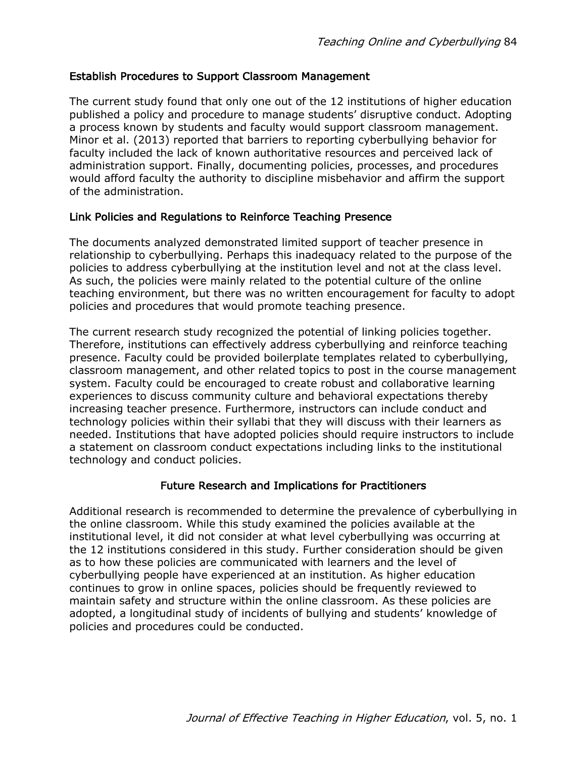### Establish Procedures to Support Classroom Management

The current study found that only one out of the 12 institutions of higher education published a policy and procedure to manage students' disruptive conduct. Adopting a process known by students and faculty would support classroom management. Minor et al. (2013) reported that barriers to reporting cyberbullying behavior for faculty included the lack of known authoritative resources and perceived lack of administration support. Finally, documenting policies, processes, and procedures would afford faculty the authority to discipline misbehavior and affirm the support of the administration.

# Link Policies and Regulations to Reinforce Teaching Presence

The documents analyzed demonstrated limited support of teacher presence in relationship to cyberbullying. Perhaps this inadequacy related to the purpose of the policies to address cyberbullying at the institution level and not at the class level. As such, the policies were mainly related to the potential culture of the online teaching environment, but there was no written encouragement for faculty to adopt policies and procedures that would promote teaching presence.

The current research study recognized the potential of linking policies together. Therefore, institutions can effectively address cyberbullying and reinforce teaching presence. Faculty could be provided boilerplate templates related to cyberbullying, classroom management, and other related topics to post in the course management system. Faculty could be encouraged to create robust and collaborative learning experiences to discuss community culture and behavioral expectations thereby increasing teacher presence. Furthermore, instructors can include conduct and technology policies within their syllabi that they will discuss with their learners as needed. Institutions that have adopted policies should require instructors to include a statement on classroom conduct expectations including links to the institutional technology and conduct policies.

# Future Research and Implications for Practitioners

Additional research is recommended to determine the prevalence of cyberbullying in the online classroom. While this study examined the policies available at the institutional level, it did not consider at what level cyberbullying was occurring at the 12 institutions considered in this study. Further consideration should be given as to how these policies are communicated with learners and the level of cyberbullying people have experienced at an institution. As higher education continues to grow in online spaces, policies should be frequently reviewed to maintain safety and structure within the online classroom. As these policies are adopted, a longitudinal study of incidents of bullying and students' knowledge of policies and procedures could be conducted.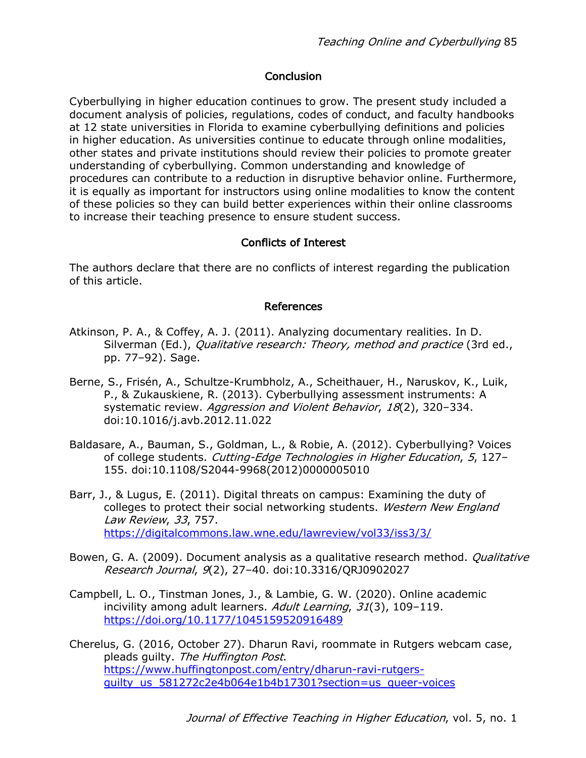# **Conclusion**

Cyberbullying in higher education continues to grow. The present study included a document analysis of policies, regulations, codes of conduct, and faculty handbooks at 12 state universities in Florida to examine cyberbullying definitions and policies in higher education. As universities continue to educate through online modalities, other states and private institutions should review their policies to promote greater understanding of cyberbullying. Common understanding and knowledge of procedures can contribute to a reduction in disruptive behavior online. Furthermore, it is equally as important for instructors using online modalities to know the content of these policies so they can build better experiences within their online classrooms to increase their teaching presence to ensure student success.

# Conflicts of Interest

The authors declare that there are no conflicts of interest regarding the publication of this article.

### References

- Atkinson, P. A., & Coffey, A. J. (2011). Analyzing documentary realities. In D. Silverman (Ed.), Qualitative research: Theory, method and practice (3rd ed., pp. 77–92). Sage.
- Berne, S., Frisén, A., Schultze-Krumbholz, A., Scheithauer, H., Naruskov, K., Luik, P., & Zukauskiene, R. (2013). Cyberbullying assessment instruments: A systematic review. Aggression and Violent Behavior, 18(2), 320-334. doi:10.1016/j.avb.2012.11.022
- Baldasare, A., Bauman, S., Goldman, L., & Robie, A. (2012). Cyberbullying? Voices of college students. Cutting-Edge Technologies in Higher Education, 5, 127– 155. doi:10.1108/S2044-9968(2012)0000005010
- Barr, J., & Lugus, E. (2011). Digital threats on campus: Examining the duty of colleges to protect their social networking students. Western New England Law Review, 33, 757. https://digitalcommons.law.wne.edu/lawreview/vol33/iss3/3/
- Bowen, G. A. (2009). Document analysis as a qualitative research method. *Qualitative* Research Journal, 9(2), 27–40. doi:10.3316/QRJ0902027
- Campbell, L. O., Tinstman Jones, J., & Lambie, G. W. (2020). Online academic incivility among adult learners. Adult Learning, 31(3), 109–119. https://doi.org/10.1177/1045159520916489
- Cherelus, G. (2016, October 27). Dharun Ravi, roommate in Rutgers webcam case, pleads quilty. The Huffington Post. https://www.huffingtonpost.com/entry/dharun-ravi-rutgersguilty us 581272c2e4b064e1b4b17301?section=us queer-voices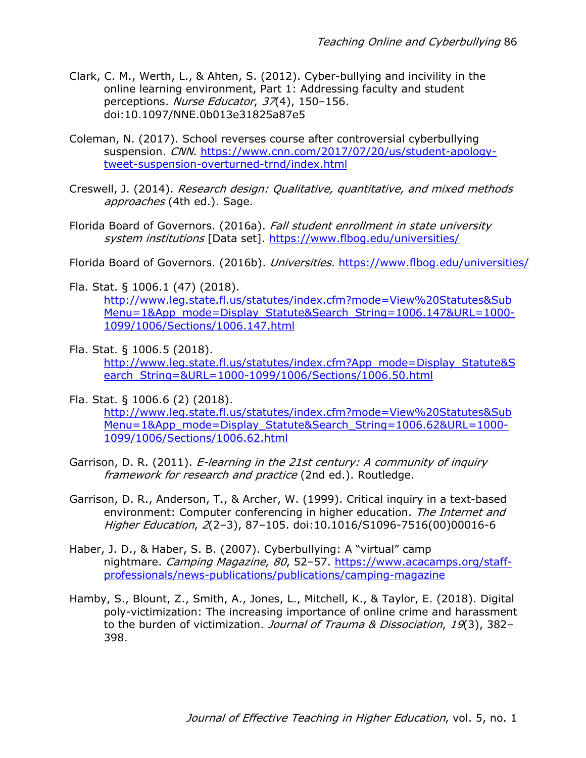- Clark, C. M., Werth, L., & Ahten, S. (2012). Cyber-bullying and incivility in the online learning environment, Part 1: Addressing faculty and student perceptions. Nurse Educator, 37(4), 150-156. doi:10.1097/NNE.0b013e31825a87e5
- Coleman, N. (2017). School reverses course after controversial cyberbullying suspension. CNN. https://www.cnn.com/2017/07/20/us/student-apologytweet-suspension-overturned-trnd/index.html
- Creswell, J. (2014). Research design: Qualitative, quantitative, and mixed methods approaches (4th ed.). Sage.
- Florida Board of Governors. (2016a). Fall student enrollment in state university system institutions [Data set]. https://www.flbog.edu/universities/

Florida Board of Governors. (2016b). Universities. https://www.flbog.edu/universities/

Fla. Stat. § 1006.1 (47) (2018).

http://www.leg.state.fl.us/statutes/index.cfm?mode=View%20Statutes&Sub Menu=1&App\_mode=Display\_Statute&Search\_String=1006.147&URL=1000- 1099/1006/Sections/1006.147.html

- Fla. Stat. § 1006.5 (2018). http://www.leg.state.fl.us/statutes/index.cfm?App\_mode=Display\_Statute&S earch\_String=&URL=1000-1099/1006/Sections/1006.50.html
- Fla. Stat. § 1006.6 (2) (2018). http://www.leg.state.fl.us/statutes/index.cfm?mode=View%20Statutes&Sub Menu=1&App\_mode=Display\_Statute&Search\_String=1006.62&URL=1000- 1099/1006/Sections/1006.62.html
- Garrison, D. R. (2011). *E-learning in the 21st century: A community of inquiry* framework for research and practice (2nd ed.). Routledge.
- Garrison, D. R., Anderson, T., & Archer, W. (1999). Critical inquiry in a text-based environment: Computer conferencing in higher education. The Internet and Higher Education, 2(2–3), 87–105. doi:10.1016/S1096-7516(00)00016-6
- Haber, J. D., & Haber, S. B. (2007). Cyberbullying: A "virtual" camp nightmare. Camping Magazine, 80, 52-57. https://www.acacamps.org/staffprofessionals/news-publications/publications/camping-magazine
- Hamby, S., Blount, Z., Smith, A., Jones, L., Mitchell, K., & Taylor, E. (2018). Digital poly-victimization: The increasing importance of online crime and harassment to the burden of victimization. Journal of Trauma & Dissociation, 19(3), 382-398.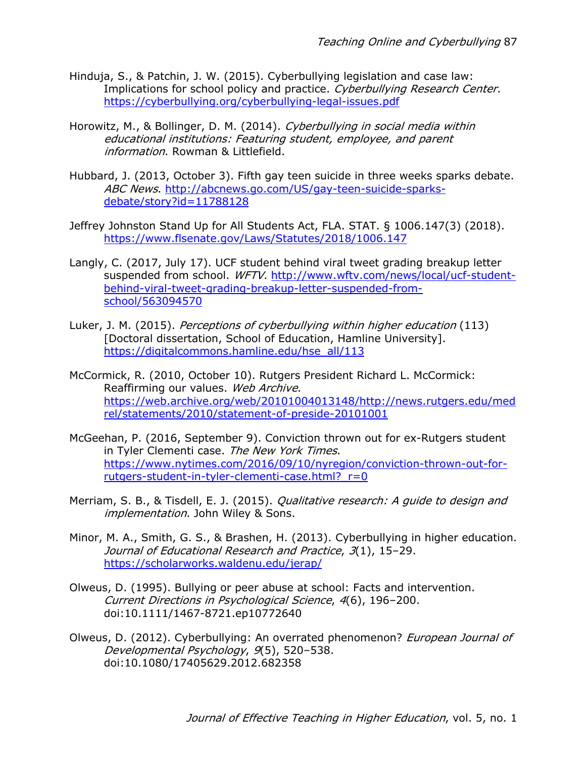- Hinduja, S., & Patchin, J. W. (2015). Cyberbullying legislation and case law: Implications for school policy and practice. Cyberbullying Research Center. https://cyberbullying.org/cyberbullying-legal-issues.pdf
- Horowitz, M., & Bollinger, D. M. (2014). Cyberbullying in social media within educational institutions: Featuring student, employee, and parent information. Rowman & Littlefield.
- Hubbard, J. (2013, October 3). Fifth gay teen suicide in three weeks sparks debate. ABC News. http://abcnews.go.com/US/gay-teen-suicide-sparksdebate/story?id=11788128
- Jeffrey Johnston Stand Up for All Students Act, FLA. STAT. § 1006.147(3) (2018). https://www.flsenate.gov/Laws/Statutes/2018/1006.147
- Langly, C. (2017, July 17). UCF student behind viral tweet grading breakup letter suspended from school. WFTV. http://www.wftv.com/news/local/ucf-studentbehind-viral-tweet-grading-breakup-letter-suspended-fromschool/563094570
- Luker, J. M. (2015). Perceptions of cyberbullying within higher education (113) [Doctoral dissertation, School of Education, Hamline University]. https://digitalcommons.hamline.edu/hse\_all/113
- McCormick, R. (2010, October 10). Rutgers President Richard L. McCormick: Reaffirming our values. Web Archive. https://web.archive.org/web/20101004013148/http://news.rutgers.edu/med rel/statements/2010/statement-of-preside-20101001
- McGeehan, P. (2016, September 9). Conviction thrown out for ex-Rutgers student in Tyler Clementi case. The New York Times. https://www.nytimes.com/2016/09/10/nyregion/conviction-thrown-out-forrutgers-student-in-tyler-clementi-case.html? r=0
- Merriam, S. B., & Tisdell, E. J. (2015). *Qualitative research: A quide to design and* implementation. John Wiley & Sons.
- Minor, M. A., Smith, G. S., & Brashen, H. (2013). Cyberbullying in higher education. Journal of Educational Research and Practice, 3(1), 15–29. https://scholarworks.waldenu.edu/jerap/
- Olweus, D. (1995). Bullying or peer abuse at school: Facts and intervention. Current Directions in Psychological Science, 4(6), 196–200. doi:10.1111/1467-8721.ep10772640
- Olweus, D. (2012). Cyberbullying: An overrated phenomenon? *European Journal of* Developmental Psychology, 9(5), 520–538. doi:10.1080/17405629.2012.682358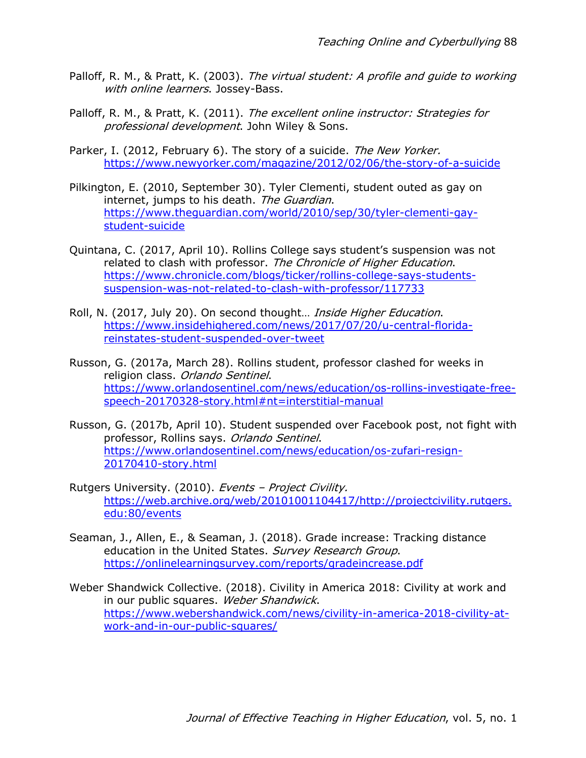- Palloff, R. M., & Pratt, K. (2003). The virtual student: A profile and quide to working with online learners. Jossey-Bass.
- Palloff, R. M., & Pratt, K. (2011). The excellent online instructor: Strategies for professional development. John Wiley & Sons.
- Parker, I. (2012, February 6). The story of a suicide. The New Yorker. https://www.newyorker.com/magazine/2012/02/06/the-story-of-a-suicide
- Pilkington, E. (2010, September 30). Tyler Clementi, student outed as gay on internet, jumps to his death. The Guardian. https://www.theguardian.com/world/2010/sep/30/tyler-clementi-gaystudent-suicide
- Quintana, C. (2017, April 10). Rollins College says student's suspension was not related to clash with professor. The Chronicle of Higher Education. https://www.chronicle.com/blogs/ticker/rollins-college-says-studentssuspension-was-not-related-to-clash-with-professor/117733
- Roll, N. (2017, July 20). On second thought... *Inside Higher Education*. https://www.insidehighered.com/news/2017/07/20/u-central-floridareinstates-student-suspended-over-tweet
- Russon, G. (2017a, March 28). Rollins student, professor clashed for weeks in religion class. Orlando Sentinel. https://www.orlandosentinel.com/news/education/os-rollins-investigate-freespeech-20170328-story.html#nt=interstitial-manual
- Russon, G. (2017b, April 10). Student suspended over Facebook post, not fight with professor, Rollins says. Orlando Sentinel. https://www.orlandosentinel.com/news/education/os-zufari-resign-20170410-story.html
- Rutgers University. (2010). Events Project Civility. https://web.archive.org/web/20101001104417/http://projectcivility.rutgers. edu:80/events
- Seaman, J., Allen, E., & Seaman, J. (2018). Grade increase: Tracking distance education in the United States. Survey Research Group. https://onlinelearningsurvey.com/reports/gradeincrease.pdf
- Weber Shandwick Collective. (2018). Civility in America 2018: Civility at work and in our public squares. Weber Shandwick. https://www.webershandwick.com/news/civility-in-america-2018-civility-atwork-and-in-our-public-squares/